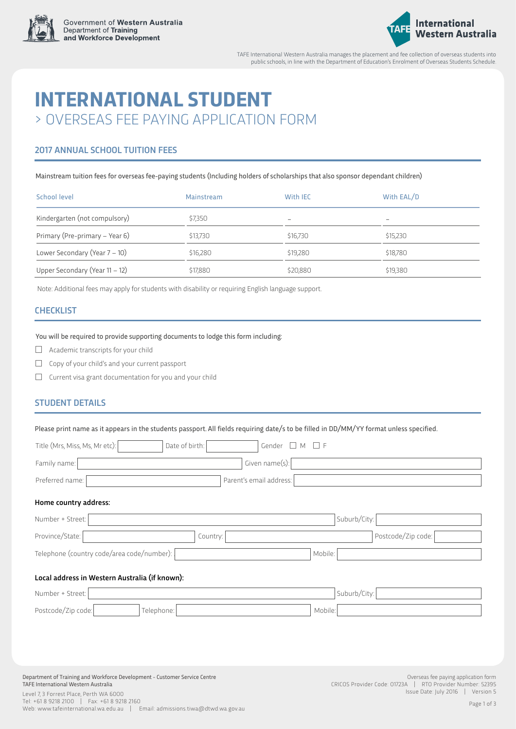



TAFE International Western Australia manages the placement and fee collection of overseas students into public schools, in line with the Department of Education's Enrolment of Overseas Students Schedule.

# **INTERNATIONAL STUDENT** > OVERSEAS FEE PAYING APPLICATION FORM

# 2017 ANNUAL SCHOOL TUITION FEES

Mainstream tuition fees for overseas fee-paying students (Including holders of scholarships that also sponsor dependant children)

| School level                      | Mainstream | With IEC                 | With EAL/D |  |
|-----------------------------------|------------|--------------------------|------------|--|
| Kindergarten (not compulsory)     | \$7,350    | $\overline{\phantom{0}}$ | $-$        |  |
| Primary (Pre-primary - Year 6)    | \$13,730   | \$16,730                 | \$15,230   |  |
| Lower Secondary (Year 7 - 10)     | \$16,280   | \$19,280                 | \$18,780   |  |
| Upper Secondary (Year $11 - 12$ ) | \$17,880   | \$20,880                 | \$19,380   |  |

Note: Additional fees may apply for students with disability or requiring English language support.

## **CHECKLIST**

#### You will be required to provide supporting documents to lodge this form including:

- $\Box$ Academic transcripts for your child
- $\Box$  Copy of your child's and your current passport
- $\square$  Current visa grant documentation for you and your child

## STUDENT DETAILS

Please print name as it appears in the students passport. All fields requiring date/s to be filled in DD/MM/YY format unless specified.

| Title (Mrs, Miss, Ms, Mr etc):                                                                                     | Date of birth:          | Gender $\square$ M $\square$ F                          |                                    |
|--------------------------------------------------------------------------------------------------------------------|-------------------------|---------------------------------------------------------|------------------------------------|
| Family name:                                                                                                       | Given name(s):          |                                                         |                                    |
| Preferred name:                                                                                                    | Parent's email address: |                                                         |                                    |
| Home country address:                                                                                              |                         |                                                         |                                    |
| Number + Street:                                                                                                   |                         | Suburb/City:                                            |                                    |
| Province/State:                                                                                                    | Country:                | Postcode/Zip code:                                      |                                    |
| Telephone (country code/area code/number):                                                                         |                         | Mobile:                                                 |                                    |
| Local address in Western Australia (if known):                                                                     |                         |                                                         |                                    |
| Number + Street:                                                                                                   |                         | Suburb/City:                                            |                                    |
| Postcode/Zip code:                                                                                                 | Telephone:              | Mobile:                                                 |                                    |
|                                                                                                                    |                         |                                                         |                                    |
|                                                                                                                    |                         |                                                         |                                    |
|                                                                                                                    |                         |                                                         |                                    |
| Department of Training and Workforce Development - Customer Service Centre<br>TAFF International Western Australia |                         | CPICOS Provider Code: 017234   PTO Provider Number: 523 | Overseas fee paying application fo |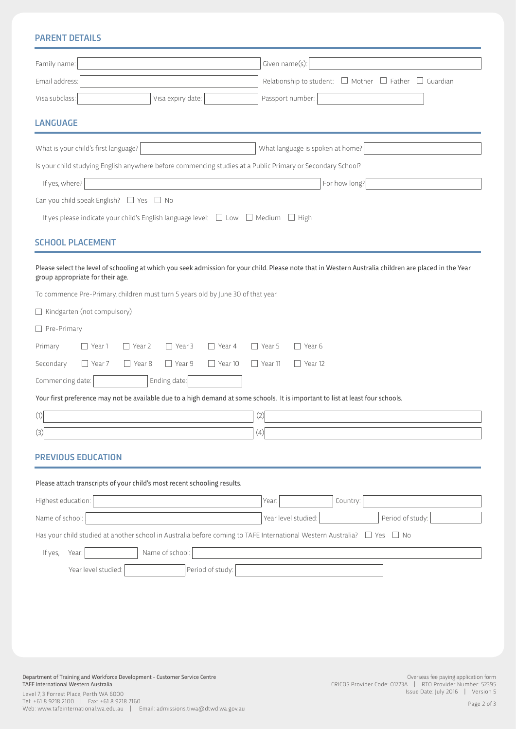# PARENT DETAILS

| Family name:                                                          |                                                                                                          |                                |                                                                          |                                                                                                                     | Given name(s)                                 |                                  |                                                                                                                                 |                                                                      |                                                                                                                                                        |
|-----------------------------------------------------------------------|----------------------------------------------------------------------------------------------------------|--------------------------------|--------------------------------------------------------------------------|---------------------------------------------------------------------------------------------------------------------|-----------------------------------------------|----------------------------------|---------------------------------------------------------------------------------------------------------------------------------|----------------------------------------------------------------------|--------------------------------------------------------------------------------------------------------------------------------------------------------|
| Email address:                                                        |                                                                                                          |                                |                                                                          |                                                                                                                     |                                               |                                  |                                                                                                                                 | Relationship to student: $\Box$ Mother $\Box$ Father $\Box$ Guardian |                                                                                                                                                        |
| Visa subclass:                                                        |                                                                                                          |                                | Visa expiry date:                                                        |                                                                                                                     |                                               | Passport number:                 |                                                                                                                                 |                                                                      |                                                                                                                                                        |
| <b>LANGUAGE</b>                                                       |                                                                                                          |                                |                                                                          |                                                                                                                     |                                               |                                  |                                                                                                                                 |                                                                      |                                                                                                                                                        |
|                                                                       | What is your child's first language?                                                                     |                                |                                                                          |                                                                                                                     |                                               | What language is spoken at home? |                                                                                                                                 |                                                                      |                                                                                                                                                        |
|                                                                       |                                                                                                          |                                |                                                                          | Is your child studying English anywhere before commencing studies at a Public Primary or Secondary School?          |                                               |                                  |                                                                                                                                 |                                                                      |                                                                                                                                                        |
| If yes, where?                                                        |                                                                                                          |                                |                                                                          |                                                                                                                     |                                               |                                  | For how long?                                                                                                                   |                                                                      |                                                                                                                                                        |
|                                                                       | Can you child speak English? $\Box$ Yes $\Box$ No                                                        |                                |                                                                          |                                                                                                                     |                                               |                                  |                                                                                                                                 |                                                                      |                                                                                                                                                        |
|                                                                       |                                                                                                          |                                |                                                                          | If yes please indicate your child's English language level: $\Box$ Low $\Box$ Medium $\Box$ High                    |                                               |                                  |                                                                                                                                 |                                                                      |                                                                                                                                                        |
|                                                                       | <b>SCHOOL PLACEMENT</b>                                                                                  |                                |                                                                          |                                                                                                                     |                                               |                                  |                                                                                                                                 |                                                                      |                                                                                                                                                        |
| Pre-Primary<br>Primary<br>Secondary<br>Commencing date:<br>(1)<br>(3) | group appropriate for their age.<br>$\Box$ Kindgarten (not compulsory)<br>$\Box$ Year 1<br>$\Box$ Year 7 | $\Box$ Year 2<br>$\Box$ Year 8 | $\Box$ Year 3<br>$\Box$ Year 9<br>Ending date:                           | To commence Pre-Primary, children must turn 5 years old by June 30 of that year.<br>$\Box$ Year 4<br>$\Box$ Year 10 | $\Box$ Year 5<br>$\Box$ Year 11<br>(2)<br>(4) | Near 6<br>$\Box$ Year 12         | Your first preference may not be available due to a high demand at some schools. It is important to list at least four schools. |                                                                      | Please select the level of schooling at which you seek admission for your child. Please note that in Western Australia children are placed in the Year |
|                                                                       | <b>PREVIOUS EDUCATION</b>                                                                                |                                |                                                                          |                                                                                                                     |                                               |                                  |                                                                                                                                 |                                                                      |                                                                                                                                                        |
|                                                                       |                                                                                                          |                                |                                                                          |                                                                                                                     |                                               |                                  |                                                                                                                                 |                                                                      |                                                                                                                                                        |
|                                                                       |                                                                                                          |                                | Please attach transcripts of your child's most recent schooling results. |                                                                                                                     |                                               |                                  |                                                                                                                                 |                                                                      |                                                                                                                                                        |
| Highest education:                                                    |                                                                                                          |                                |                                                                          |                                                                                                                     | Year:                                         |                                  | Country:                                                                                                                        |                                                                      |                                                                                                                                                        |
| Name of school:                                                       |                                                                                                          |                                |                                                                          |                                                                                                                     |                                               | Year level studied:              |                                                                                                                                 | Period of study:                                                     |                                                                                                                                                        |
|                                                                       |                                                                                                          |                                |                                                                          | Has your child studied at another school in Australia before coming to TAFE International Western Australia?        |                                               |                                  |                                                                                                                                 | $\Box$ Yes $\Box$ No                                                 |                                                                                                                                                        |
| If yes,                                                               | Year:                                                                                                    |                                | Name of school:                                                          |                                                                                                                     |                                               |                                  |                                                                                                                                 |                                                                      |                                                                                                                                                        |
|                                                                       | Year level studied:                                                                                      |                                |                                                                          | Period of study:                                                                                                    |                                               |                                  |                                                                                                                                 |                                                                      |                                                                                                                                                        |

Department of Training and Workforce Development - Customer Service Centre TAFE International Western Australia